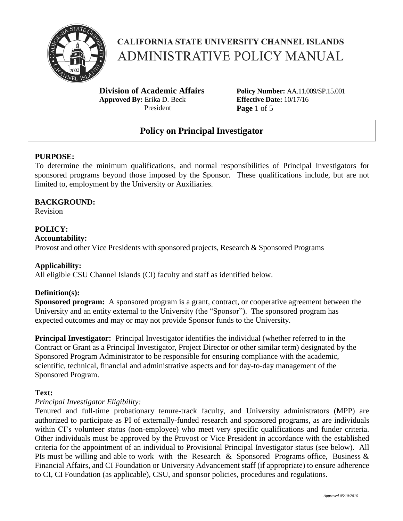

**Division of Academic Affairs Approved By:** Erika D. Beck President

**Policy Number:** AA.11.009/SP.15.001 **Effective Date:** 10/17/16 **Page** 1 of 5

# **Policy on Principal Investigator**

## **PURPOSE:**

To determine the minimum qualifications, and normal responsibilities of Principal Investigators for sponsored programs beyond those imposed by the Sponsor. These qualifications include, but are not limited to, employment by the University or Auxiliaries.

#### **BACKGROUND:**

Revision

## **POLICY:**

#### **Accountability:**

Provost and other Vice Presidents with sponsored projects, Research & Sponsored Programs

## **Applicability:**

All eligible CSU Channel Islands (CI) faculty and staff as identified below.

## **Definition(s):**

**Sponsored program:** A sponsored program is a grant, contract, or cooperative agreement between the University and an entity external to the University (the "Sponsor"). The sponsored program has expected outcomes and may or may not provide Sponsor funds to the University.

**Principal Investigator:** Principal Investigator identifies the individual (whether referred to in the Contract or Grant as a Principal Investigator, Project Director or other similar term) designated by the Sponsored Program Administrator to be responsible for ensuring compliance with the academic, scientific, technical, financial and administrative aspects and for day-to-day management of the Sponsored Program.

#### **Text:**

## *Principal Investigator Eligibility:*

Tenured and full-time probationary tenure-track faculty, and University administrators (MPP) are authorized to participate as PI of externally-funded research and sponsored programs, as are individuals within CI's volunteer status (non-employee) who meet very specific qualifications and funder criteria. Other individuals must be approved by the Provost or Vice President in accordance with the established criteria for the appointment of an individual to Provisional Principal Investigator status (see below). All PIs must be willing and able to work with the Research & Sponsored Programs office, Business  $\&$ Financial Affairs, and CI Foundation or University Advancement staff (if appropriate) to ensure adherence to CI, CI Foundation (as applicable), CSU, and sponsor policies, procedures and regulations.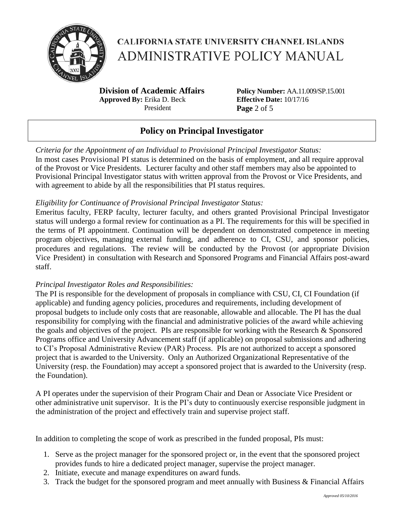

**Division of Academic Affairs Approved By:** Erika D. Beck President

**Policy Number:** AA.11.009/SP.15.001 **Effective Date:** 10/17/16 **Page** 2 of 5

# **Policy on Principal Investigator**

*Criteria for the Appointment of an Individual to Provisional Principal Investigator Status:* In most cases Provisional PI status is determined on the basis of employment, and all require approval of the Provost or Vice Presidents. Lecturer faculty and other staff members may also be appointed to Provisional Principal Investigator status with written approval from the Provost or Vice Presidents, and with agreement to abide by all the responsibilities that PI status requires.

## *Eligibility for Continuance of Provisional Principal Investigator Status:*

Emeritus faculty, FERP faculty, lecturer faculty, and others granted Provisional Principal Investigator status will undergo a formal review for continuation as a PI. The requirements for this will be specified in the terms of PI appointment. Continuation will be dependent on demonstrated competence in meeting program objectives, managing external funding, and adherence to CI, CSU, and sponsor policies, procedures and regulations. The review will be conducted by the Provost (or appropriate Division Vice President) in consultation with Research and Sponsored Programs and Financial Affairs post-award staff.

## *Principal Investigator Roles and Responsibilities:*

The PI is responsible for the development of proposals in compliance with CSU, CI, CI Foundation (if applicable) and funding agency policies, procedures and requirements, including development of proposal budgets to include only costs that are reasonable, allowable and allocable. The PI has the dual responsibility for complying with the financial and administrative policies of the award while achieving the goals and objectives of the project. PIs are responsible for working with the Research & Sponsored Programs office and University Advancement staff (if applicable) on proposal submissions and adhering to CI's Proposal Administrative Review (PAR) Process. PIs are not authorized to accept a sponsored project that is awarded to the University. Only an Authorized Organizational Representative of the University (resp. the Foundation) may accept a sponsored project that is awarded to the University (resp. the Foundation).

A PI operates under the supervision of their Program Chair and Dean or Associate Vice President or other administrative unit supervisor. It is the PI's duty to continuously exercise responsible judgment in the administration of the project and effectively train and supervise project staff.

In addition to completing the scope of work as prescribed in the funded proposal, PIs must:

- 1. Serve as the project manager for the sponsored project or, in the event that the sponsored project provides funds to hire a dedicated project manager, supervise the project manager.
- 2. Initiate, execute and manage expenditures on award funds.
- 3. Track the budget for the sponsored program and meet annually with Business & Financial Affairs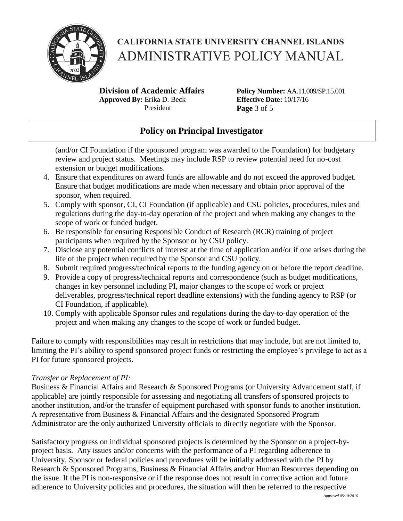

**Division of Academic Affairs Approved By:** Erika D. Beck President

**Policy Number:** AA.11.009/SP.15.001 **Effective Date:** 10/17/16 **Page** 3 of 5

# **Policy on Principal Investigator**

(and/or CI Foundation if the sponsored program was awarded to the Foundation) for budgetary review and project status. Meetings may include RSP to review potential need for no-cost extension or budget modifications.

- 4. Ensure that expenditures on award funds are allowable and do not exceed the approved budget. Ensure that budget modifications are made when necessary and obtain prior approval of the sponsor, when required.
- 5. Comply with sponsor, CI, CI Foundation (if applicable) and CSU policies, procedures, rules and regulations during the day-to-day operation of the project and when making any changes to the scope of work or funded budget.
- 6. Be responsible for ensuring Responsible Conduct of Research (RCR) training of project participants when required by the Sponsor or by CSU policy.
- 7. Disclose any potential conflicts of interest at the time of application and/or if one arises during the life of the project when required by the Sponsor and CSU policy.
- 8. Submit required progress/technical reports to the funding agency on or before the report deadline.
- 9. Provide a copy of progress/technical reports and correspondence (such as budget modifications, changes in key personnel including PI, major changes to the scope of work or project deliverables, progress/technical report deadline extensions) with the funding agency to RSP (or CI Foundation, if applicable).
- 10. Comply with applicable Sponsor rules and regulations during the day-to-day operation of the project and when making any changes to the scope of work or funded budget.

Failure to comply with responsibilities may result in restrictions that may include, but are not limited to, limiting the PI's ability to spend sponsored project funds or restricting the employee's privilege to act as a PI for future sponsored projects.

## *Transfer or Replacement of PI:*

Business & Financial Affairs and Research & Sponsored Programs (or University Advancement staff, if applicable) are jointly responsible for assessing and negotiating all transfers of sponsored projects to another institution, and/or the transfer of equipment purchased with sponsor funds to another institution. A representative from Business & Financial Affairs and the designated Sponsored Program Administrator are the only authorized University officials to directly negotiate with the Sponsor.

Satisfactory progress on individual sponsored projects is determined by the Sponsor on a project-byproject basis. Any issues and/or concerns with the performance of a PI regarding adherence to University, Sponsor or federal policies and procedures will be initially addressed with the PI by Research & Sponsored Programs, Business & Financial Affairs and/or Human Resources depending on the issue. If the PI is non-responsive or if the response does not result in corrective action and future adherence to University policies and procedures, the situation will then be referred to the respective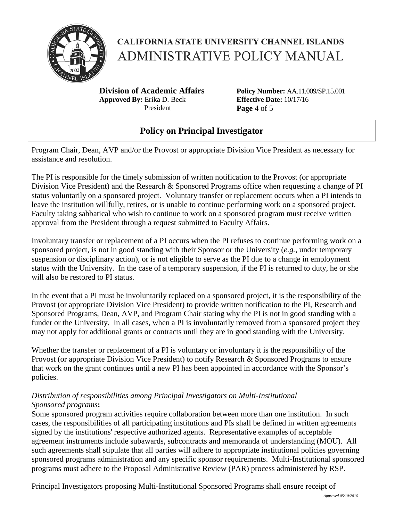

**Division of Academic Affairs Approved By:** Erika D. Beck President

**Policy Number:** AA.11.009/SP.15.001 **Effective Date:** 10/17/16 **Page** 4 of 5

# **Policy on Principal Investigator**

Program Chair, Dean, AVP and/or the Provost or appropriate Division Vice President as necessary for assistance and resolution.

The PI is responsible for the timely submission of written notification to the Provost (or appropriate Division Vice President) and the Research & Sponsored Programs office when requesting a change of PI status voluntarily on a sponsored project. Voluntary transfer or replacement occurs when a PI intends to leave the institution willfully, retires, or is unable to continue performing work on a sponsored project. Faculty taking sabbatical who wish to continue to work on a sponsored program must receive written approval from the President through a request submitted to Faculty Affairs.

Involuntary transfer or replacement of a PI occurs when the PI refuses to continue performing work on a sponsored project, is not in good standing with their Sponsor or the University (*e.g.,* under temporary suspension or disciplinary action), or is not eligible to serve as the PI due to a change in employment status with the University. In the case of a temporary suspension, if the PI is returned to duty, he or she will also be restored to PI status.

In the event that a PI must be involuntarily replaced on a sponsored project, it is the responsibility of the Provost (or appropriate Division Vice President) to provide written notification to the PI, Research and Sponsored Programs, Dean, AVP, and Program Chair stating why the PI is not in good standing with a funder or the University. In all cases, when a PI is involuntarily removed from a sponsored project they may not apply for additional grants or contracts until they are in good standing with the University.

Whether the transfer or replacement of a PI is voluntary or involuntary it is the responsibility of the Provost (or appropriate Division Vice President) to notify Research & Sponsored Programs to ensure that work on the grant continues until a new PI has been appointed in accordance with the Sponsor's policies.

## *Distribution of responsibilities among Principal Investigators on Multi-Institutional Sponsored programs***:**

Some sponsored program activities require collaboration between more than one institution. In such cases, the responsibilities of all participating institutions and PIs shall be defined in written agreements signed by the institutions' respective authorized agents. Representative examples of acceptable agreement instruments include subawards, subcontracts and memoranda of understanding (MOU). All such agreements shall stipulate that all parties will adhere to appropriate institutional policies governing sponsored programs administration and any specific sponsor requirements. Multi-Institutional sponsored programs must adhere to the Proposal Administrative Review (PAR) process administered by RSP.

Principal Investigators proposing Multi-Institutional Sponsored Programs shall ensure receipt of